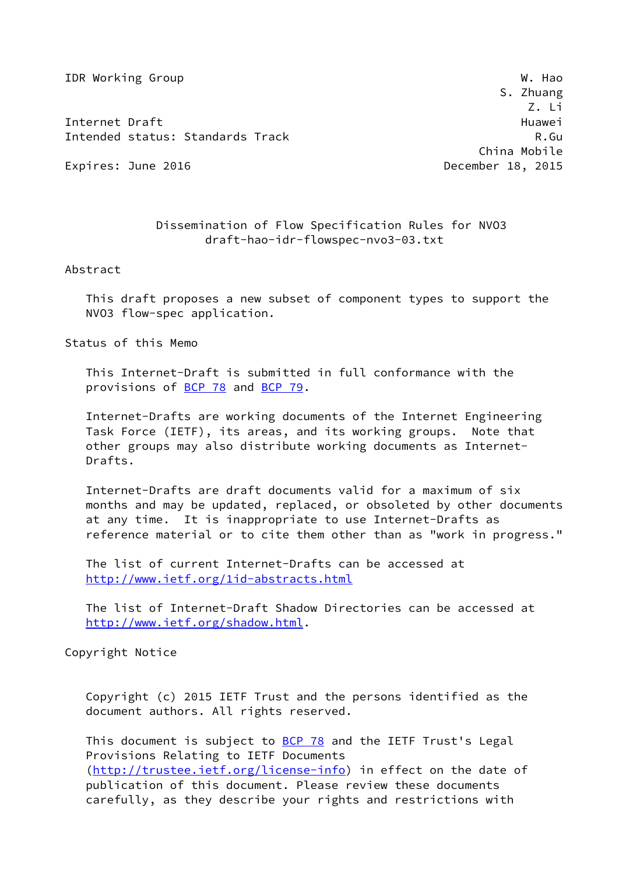**IDR Working Group W. Hao** 

Internet Draft Huawei (1999) and the extent of the extent of the extent of the extent of the extent of the extent of the extent of the extent of the extent of the extent of the extent of the extent of the extent of the ext Intended status: Standards Track R.Gu

Expires: June 2016 **December 18, 2015** 

 S. Zhuang Z. Li China Mobile

## Dissemination of Flow Specification Rules for NVO3 draft-hao-idr-flowspec-nvo3-03.txt

Abstract

 This draft proposes a new subset of component types to support the NVO3 flow-spec application.

Status of this Memo

 This Internet-Draft is submitted in full conformance with the provisions of [BCP 78](https://datatracker.ietf.org/doc/pdf/bcp78) and [BCP 79](https://datatracker.ietf.org/doc/pdf/bcp79).

 Internet-Drafts are working documents of the Internet Engineering Task Force (IETF), its areas, and its working groups. Note that other groups may also distribute working documents as Internet- Drafts.

 Internet-Drafts are draft documents valid for a maximum of six months and may be updated, replaced, or obsoleted by other documents at any time. It is inappropriate to use Internet-Drafts as reference material or to cite them other than as "work in progress."

 The list of current Internet-Drafts can be accessed at <http://www.ietf.org/1id-abstracts.html>

 The list of Internet-Draft Shadow Directories can be accessed at <http://www.ietf.org/shadow.html>.

Copyright Notice

 Copyright (c) 2015 IETF Trust and the persons identified as the document authors. All rights reserved.

This document is subject to **[BCP 78](https://datatracker.ietf.org/doc/pdf/bcp78)** and the IETF Trust's Legal Provisions Relating to IETF Documents [\(http://trustee.ietf.org/license-info](http://trustee.ietf.org/license-info)) in effect on the date of publication of this document. Please review these documents carefully, as they describe your rights and restrictions with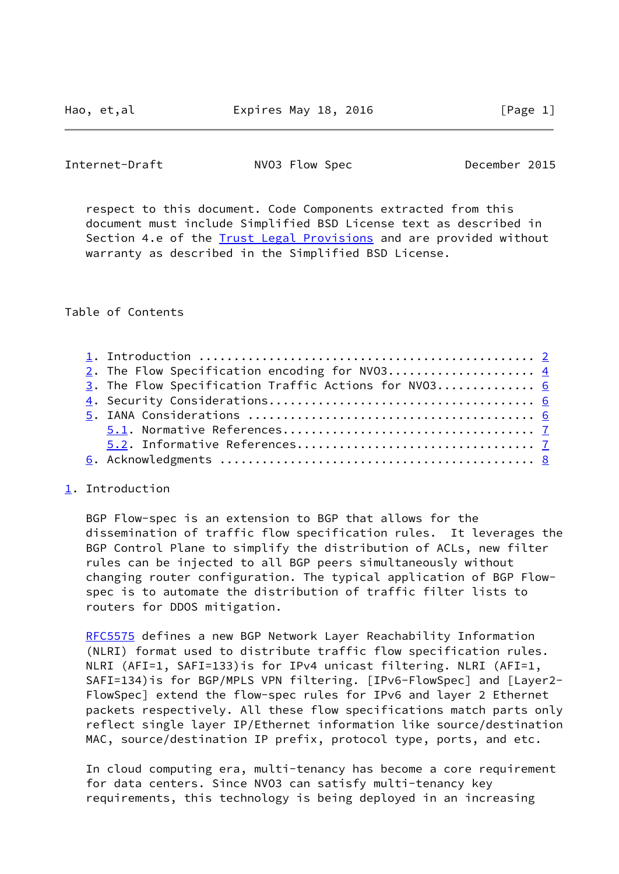<span id="page-1-1"></span>Internet-Draft NVO3 Flow Spec December 2015

 respect to this document. Code Components extracted from this document must include Simplified BSD License text as described in Section 4.e of the [Trust Legal Provisions](https://trustee.ietf.org/license-info) and are provided without warranty as described in the Simplified BSD License.

Table of Contents

| 2. The Flow Specification encoding for NV03 $4$      |  |
|------------------------------------------------------|--|
| 3. The Flow Specification Traffic Actions for NV03 6 |  |
|                                                      |  |
|                                                      |  |
|                                                      |  |
|                                                      |  |
|                                                      |  |

## <span id="page-1-0"></span>[1](#page-1-0). Introduction

 BGP Flow-spec is an extension to BGP that allows for the dissemination of traffic flow specification rules. It leverages the BGP Control Plane to simplify the distribution of ACLs, new filter rules can be injected to all BGP peers simultaneously without changing router configuration. The typical application of BGP Flow spec is to automate the distribution of traffic filter lists to routers for DDOS mitigation.

 [RFC5575](https://datatracker.ietf.org/doc/pdf/rfc5575) defines a new BGP Network Layer Reachability Information (NLRI) format used to distribute traffic flow specification rules. NLRI (AFI=1, SAFI=133)is for IPv4 unicast filtering. NLRI (AFI=1, SAFI=134)is for BGP/MPLS VPN filtering. [IPv6-FlowSpec] and [Layer2- FlowSpec] extend the flow-spec rules for IPv6 and layer 2 Ethernet packets respectively. All these flow specifications match parts only reflect single layer IP/Ethernet information like source/destination MAC, source/destination IP prefix, protocol type, ports, and etc.

 In cloud computing era, multi-tenancy has become a core requirement for data centers. Since NVO3 can satisfy multi-tenancy key requirements, this technology is being deployed in an increasing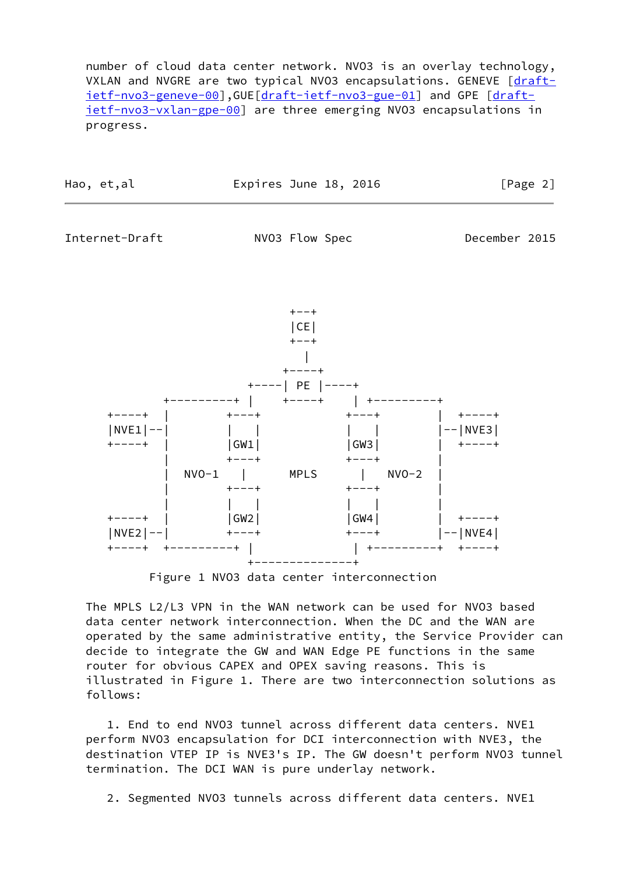number of cloud data center network. NVO3 is an overlay technology, VXLAN and NVGRE are two typical NV03 encapsulations. GENEVE [\[draft](https://datatracker.ietf.org/doc/pdf/draft-ietf-nvo3-geneve-00) [ietf-nvo3-geneve-00](https://datatracker.ietf.org/doc/pdf/draft-ietf-nvo3-geneve-00)],GUE[\[draft-ietf-nvo3-gue-01](https://datatracker.ietf.org/doc/pdf/draft-ietf-nvo3-gue-01)] and GPE [\[draft](https://datatracker.ietf.org/doc/pdf/draft-ietf-nvo3-vxlan-gpe-00) [ietf-nvo3-vxlan-gpe-00](https://datatracker.ietf.org/doc/pdf/draft-ietf-nvo3-vxlan-gpe-00)] are three emerging NVO3 encapsulations in progress.

| Hao, et,al | Expires June 18, 2016 | [Page 2] |
|------------|-----------------------|----------|
|------------|-----------------------|----------|

Internet-Draft MVO3 Flow Spec December 2015



Figure 1 NVO3 data center interconnection

 The MPLS L2/L3 VPN in the WAN network can be used for NVO3 based data center network interconnection. When the DC and the WAN are operated by the same administrative entity, the Service Provider can decide to integrate the GW and WAN Edge PE functions in the same router for obvious CAPEX and OPEX saving reasons. This is illustrated in Figure 1. There are two interconnection solutions as follows:

 1. End to end NVO3 tunnel across different data centers. NVE1 perform NVO3 encapsulation for DCI interconnection with NVE3, the destination VTEP IP is NVE3's IP. The GW doesn't perform NVO3 tunnel termination. The DCI WAN is pure underlay network.

2. Segmented NVO3 tunnels across different data centers. NVE1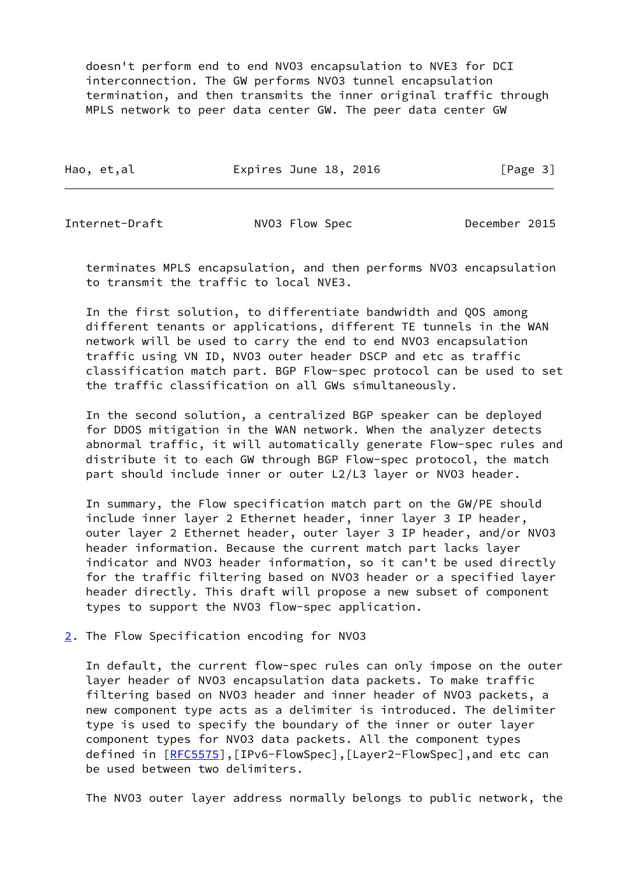doesn't perform end to end NVO3 encapsulation to NVE3 for DCI interconnection. The GW performs NVO3 tunnel encapsulation termination, and then transmits the inner original traffic through MPLS network to peer data center GW. The peer data center GW

| Hao, et,al | Expires June 18, 2016 |  | [Page 3] |  |
|------------|-----------------------|--|----------|--|
|            |                       |  |          |  |

<span id="page-3-1"></span>Internet-Draft NVO3 Flow Spec December 2015

 terminates MPLS encapsulation, and then performs NVO3 encapsulation to transmit the traffic to local NVE3.

 In the first solution, to differentiate bandwidth and QOS among different tenants or applications, different TE tunnels in the WAN network will be used to carry the end to end NVO3 encapsulation traffic using VN ID, NVO3 outer header DSCP and etc as traffic classification match part. BGP Flow-spec protocol can be used to set the traffic classification on all GWs simultaneously.

 In the second solution, a centralized BGP speaker can be deployed for DDOS mitigation in the WAN network. When the analyzer detects abnormal traffic, it will automatically generate Flow-spec rules and distribute it to each GW through BGP Flow-spec protocol, the match part should include inner or outer L2/L3 layer or NVO3 header.

 In summary, the Flow specification match part on the GW/PE should include inner layer 2 Ethernet header, inner layer 3 IP header, outer layer 2 Ethernet header, outer layer 3 IP header, and/or NVO3 header information. Because the current match part lacks layer indicator and NVO3 header information, so it can't be used directly for the traffic filtering based on NVO3 header or a specified layer header directly. This draft will propose a new subset of component types to support the NVO3 flow-spec application.

<span id="page-3-0"></span>[2](#page-3-0). The Flow Specification encoding for NVO3

 In default, the current flow-spec rules can only impose on the outer layer header of NVO3 encapsulation data packets. To make traffic filtering based on NVO3 header and inner header of NVO3 packets, a new component type acts as a delimiter is introduced. The delimiter type is used to specify the boundary of the inner or outer layer component types for NVO3 data packets. All the component types defined in  $[RECS575]$ , [IPv6-FlowSpec], [Layer2-FlowSpec], and etc can be used between two delimiters.

The NVO3 outer layer address normally belongs to public network, the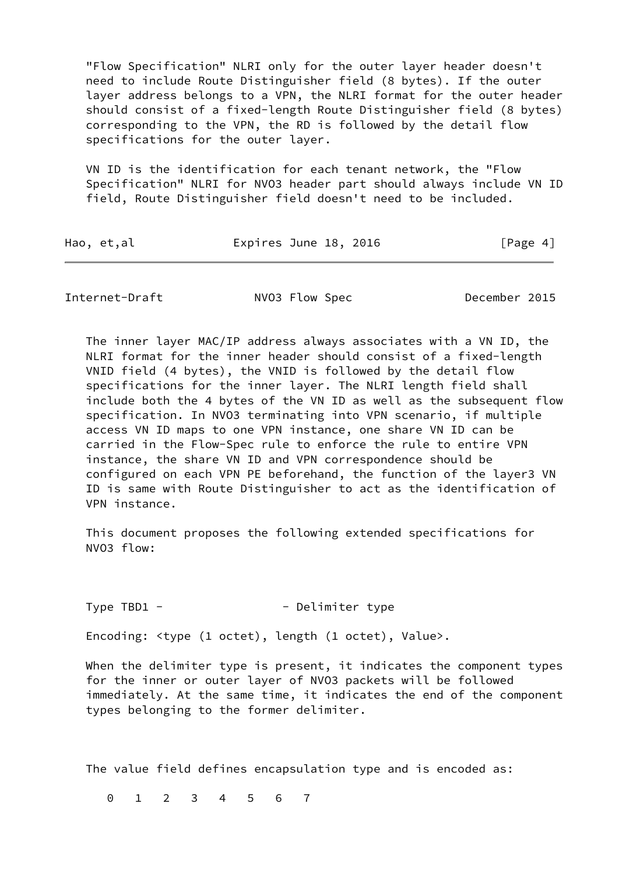"Flow Specification" NLRI only for the outer layer header doesn't need to include Route Distinguisher field (8 bytes). If the outer layer address belongs to a VPN, the NLRI format for the outer header should consist of a fixed-length Route Distinguisher field (8 bytes) corresponding to the VPN, the RD is followed by the detail flow specifications for the outer layer.

 VN ID is the identification for each tenant network, the "Flow Specification" NLRI for NVO3 header part should always include VN ID field, Route Distinguisher field doesn't need to be included.

| Hao, et,al | Expires June 18, 2016 | [Page 4] |
|------------|-----------------------|----------|
|------------|-----------------------|----------|

Internet-Draft NVO3 Flow Spec December 2015

 The inner layer MAC/IP address always associates with a VN ID, the NLRI format for the inner header should consist of a fixed-length VNID field (4 bytes), the VNID is followed by the detail flow specifications for the inner layer. The NLRI length field shall include both the 4 bytes of the VN ID as well as the subsequent flow specification. In NVO3 terminating into VPN scenario, if multiple access VN ID maps to one VPN instance, one share VN ID can be carried in the Flow-Spec rule to enforce the rule to entire VPN instance, the share VN ID and VPN correspondence should be configured on each VPN PE beforehand, the function of the layer3 VN ID is same with Route Distinguisher to act as the identification of VPN instance.

 This document proposes the following extended specifications for NVO3 flow:

Type TBD1 - Type TBD1 - Delimiter type

Encoding: <type (1 octet), length (1 octet), Value>.

When the delimiter type is present, it indicates the component types for the inner or outer layer of NVO3 packets will be followed immediately. At the same time, it indicates the end of the component types belonging to the former delimiter.

The value field defines encapsulation type and is encoded as:

0 1 2 3 4 5 6 7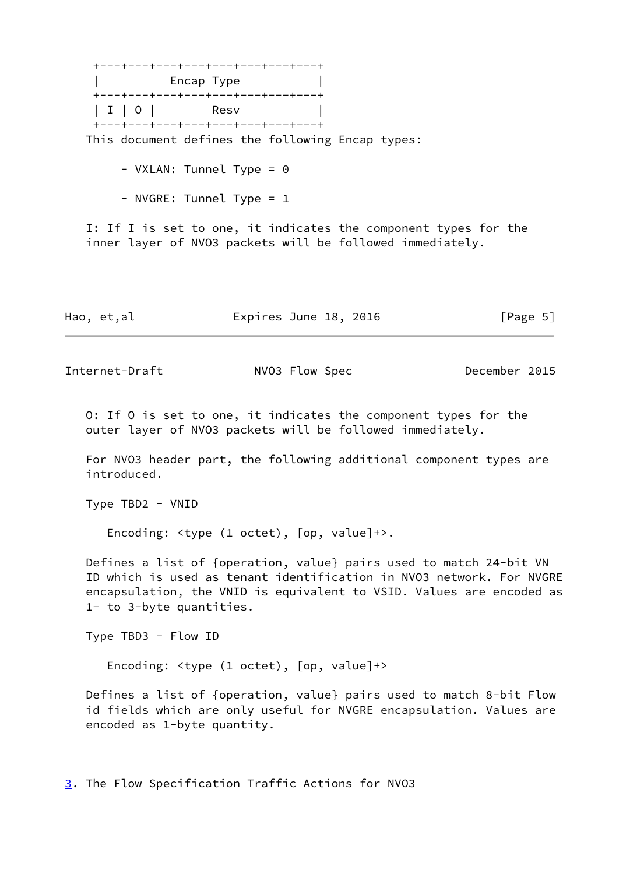+---+---+---+---+---+---+---+---+ encap Type and  $|$  +---+---+---+---+---+---+---+---+ | I | 0 | Resv +---+---+---+---+---+---+---+---+ This document defines the following Encap types:

- VXLAN: Tunnel Type = 0

- NVGRE: Tunnel Type = 1

 I: If I is set to one, it indicates the component types for the inner layer of NVO3 packets will be followed immediately.

| Hao, et,al | Expires June 18, 2016 | [Page 5] |
|------------|-----------------------|----------|
|------------|-----------------------|----------|

<span id="page-5-1"></span>

Internet-Draft NVO3 Flow Spec December 2015

 O: If O is set to one, it indicates the component types for the outer layer of NVO3 packets will be followed immediately.

 For NVO3 header part, the following additional component types are introduced.

Type TBD2 - VNID

Encoding: <type (1 octet), [op, value]+>.

 Defines a list of {operation, value} pairs used to match 24-bit VN ID which is used as tenant identification in NVO3 network. For NVGRE encapsulation, the VNID is equivalent to VSID. Values are encoded as 1- to 3-byte quantities.

Type TBD3 - Flow ID

Encoding: <type (1 octet), [op, value]+>

 Defines a list of {operation, value} pairs used to match 8-bit Flow id fields which are only useful for NVGRE encapsulation. Values are encoded as 1-byte quantity.

<span id="page-5-0"></span>[3](#page-5-0). The Flow Specification Traffic Actions for NVO3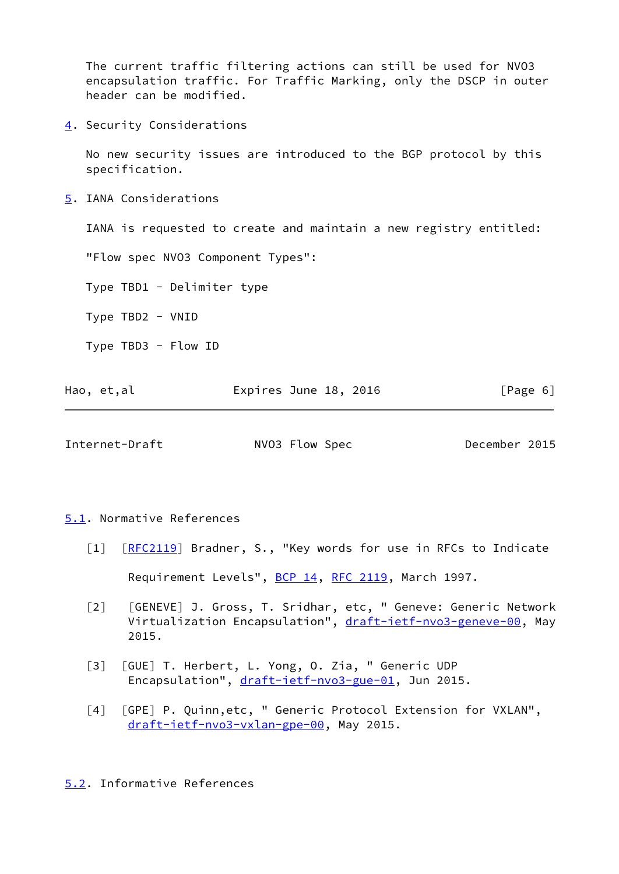The current traffic filtering actions can still be used for NVO3 encapsulation traffic. For Traffic Marking, only the DSCP in outer header can be modified.

<span id="page-6-0"></span>[4](#page-6-0). Security Considerations

 No new security issues are introduced to the BGP protocol by this specification.

<span id="page-6-1"></span>[5](#page-6-1). IANA Considerations

IANA is requested to create and maintain a new registry entitled:

"Flow spec NVO3 Component Types":

Type TBD1 - Delimiter type

Type TBD2 - VNID

Type TBD3 - Flow ID

| Expires June 18, 2016<br>Hao, et,al | [Page 6] |
|-------------------------------------|----------|
|-------------------------------------|----------|

<span id="page-6-3"></span>Internet-Draft NVO3 Flow Spec December 2015

<span id="page-6-2"></span>[5.1](#page-6-2). Normative References

- [1] [\[RFC2119](https://datatracker.ietf.org/doc/pdf/rfc2119)] Bradner, S., "Key words for use in RFCs to Indicate Requirement Levels", [BCP 14](https://datatracker.ietf.org/doc/pdf/bcp14), [RFC 2119,](https://datatracker.ietf.org/doc/pdf/rfc2119) March 1997.
- [2] [GENEVE] J. Gross, T. Sridhar, etc, " Geneve: Generic Network Virtualization Encapsulation", [draft-ietf-nvo3-geneve-00](https://datatracker.ietf.org/doc/pdf/draft-ietf-nvo3-geneve-00), May 2015.
- [3] [GUE] T. Herbert, L. Yong, O. Zia, " Generic UDP Encapsulation", [draft-ietf-nvo3-gue-01](https://datatracker.ietf.org/doc/pdf/draft-ietf-nvo3-gue-01), Jun 2015.
- [4] [GPE] P. Quinn,etc, " Generic Protocol Extension for VXLAN", [draft-ietf-nvo3-vxlan-gpe-00](https://datatracker.ietf.org/doc/pdf/draft-ietf-nvo3-vxlan-gpe-00), May 2015.

<span id="page-6-4"></span>[5.2](#page-6-4). Informative References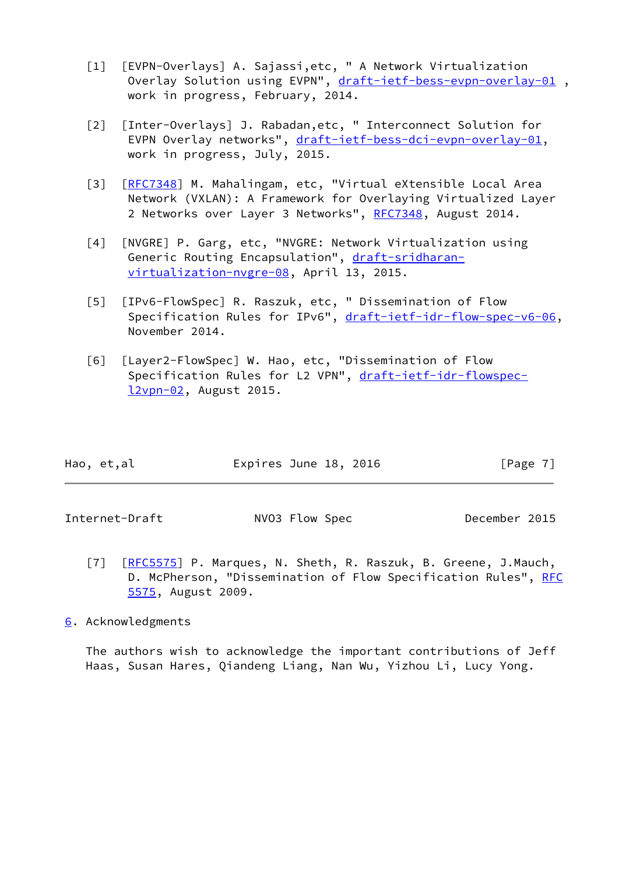- [1] [EVPN-Overlays] A. Sajassi,etc, " A Network Virtualization Overlay Solution using EVPN", draft-ietf-bess-evpn-overlay-01, work in progress, February, 2014.
- [2] [Inter-Overlays] J. Rabadan,etc, " Interconnect Solution for EVPN Overlay networks", [draft-ietf-bess-dci-evpn-overlay-01](https://datatracker.ietf.org/doc/pdf/draft-ietf-bess-dci-evpn-overlay-01), work in progress, July, 2015.
- [3] [\[RFC7348](https://datatracker.ietf.org/doc/pdf/rfc7348)] M. Mahalingam, etc, "Virtual eXtensible Local Area Network (VXLAN): A Framework for Overlaying Virtualized Layer 2 Networks over Layer 3 Networks", [RFC7348](https://datatracker.ietf.org/doc/pdf/rfc7348), August 2014.
- [4] [NVGRE] P. Garg, etc, "NVGRE: Network Virtualization using Generic Routing Encapsulation", [draft-sridharan](https://datatracker.ietf.org/doc/pdf/draft-sridharan-virtualization-nvgre-08) [virtualization-nvgre-08](https://datatracker.ietf.org/doc/pdf/draft-sridharan-virtualization-nvgre-08), April 13, 2015.
- [5] [IPv6-FlowSpec] R. Raszuk, etc, " Dissemination of Flow Specification Rules for IPv6", [draft-ietf-idr-flow-spec-v6-06](https://datatracker.ietf.org/doc/pdf/draft-ietf-idr-flow-spec-v6-06), November 2014.
- [6] [Layer2-FlowSpec] W. Hao, etc, "Dissemination of Flow Specification Rules for L2 VPN", [draft-ietf-idr-flowspec](https://datatracker.ietf.org/doc/pdf/draft-ietf-idr-flowspec-l2vpn-02) [l2vpn-02](https://datatracker.ietf.org/doc/pdf/draft-ietf-idr-flowspec-l2vpn-02), August 2015.

|  | Hao, et,al | Expires June 18, 2016 | [Page 7] |
|--|------------|-----------------------|----------|
|--|------------|-----------------------|----------|

<span id="page-7-1"></span>Internet-Draft NVO3 Flow Spec December 2015

- [7] [\[RFC5575](https://datatracker.ietf.org/doc/pdf/rfc5575)] P. Marques, N. Sheth, R. Raszuk, B. Greene, J.Mauch, D. McPherson, "Dissemination of Flow Specification Rules", [RFC](https://datatracker.ietf.org/doc/pdf/rfc5575) [5575](https://datatracker.ietf.org/doc/pdf/rfc5575), August 2009.
- <span id="page-7-0"></span>[6](#page-7-0). Acknowledgments

 The authors wish to acknowledge the important contributions of Jeff Haas, Susan Hares, Qiandeng Liang, Nan Wu, Yizhou Li, Lucy Yong.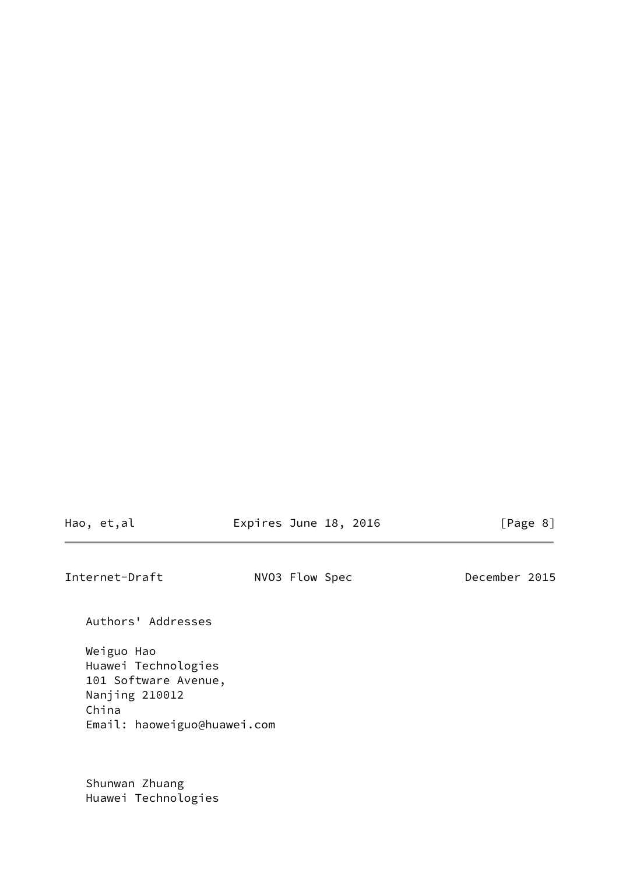Hao, et,al **Expires June 18, 2016** [Page 8]

Internet-Draft NVO3 Flow Spec December 2015

Authors' Addresses

 Weiguo Hao Huawei Technologies 101 Software Avenue, Nanjing 210012 China Email: haoweiguo@huawei.com

 Shunwan Zhuang Huawei Technologies